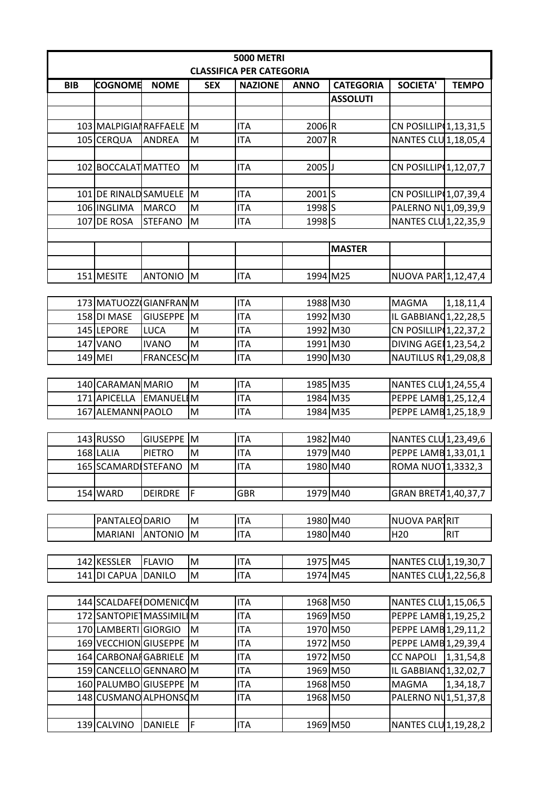| <b>5000 METRI</b>               |                          |                         |            |                |                            |                  |                          |              |  |  |  |
|---------------------------------|--------------------------|-------------------------|------------|----------------|----------------------------|------------------|--------------------------|--------------|--|--|--|
| <b>CLASSIFICA PER CATEGORIA</b> |                          |                         |            |                |                            |                  |                          |              |  |  |  |
| <b>BIB</b>                      | <b>COGNOME</b>           | <b>NOME</b>             | <b>SEX</b> | <b>NAZIONE</b> | <b>ANNO</b>                | <b>CATEGORIA</b> | <b>SOCIETA'</b>          | <b>TEMPO</b> |  |  |  |
|                                 |                          |                         |            |                |                            | <b>ASSOLUTI</b>  |                          |              |  |  |  |
|                                 |                          |                         |            |                |                            |                  |                          |              |  |  |  |
|                                 | 103 MALPIGIAN RAFFAELE M |                         |            | <b>ITA</b>     | 2006R                      |                  | CN POSILLIP 1, 13, 31, 5 |              |  |  |  |
|                                 | 105 CERQUA               | <b>ANDREA</b>           | M          | <b>ITA</b>     | 2007R                      |                  | NANTES CLU 1,18,05,4     |              |  |  |  |
|                                 |                          |                         |            |                |                            |                  |                          |              |  |  |  |
|                                 | 102 BOCCALAT MATTEO      |                         | M          | <b>ITA</b>     | $2005$ J                   |                  | CN POSILLIP 1,12,07,7    |              |  |  |  |
|                                 |                          |                         |            |                |                            |                  |                          |              |  |  |  |
|                                 | 101 DE RINALD SAMUELE M  |                         |            | <b>ITA</b>     | 2001S                      |                  | CN POSILLIP 1,07,39,4    |              |  |  |  |
|                                 | 106 INGLIMA              | <b>MARCO</b>            | M          | <b>ITA</b>     | $1998\overline{\smash{5}}$ |                  | PALERNO NU1,09,39,9      |              |  |  |  |
|                                 | 107 DE ROSA              | <b>STEFANO</b>          | M          | <b>ITA</b>     | 1998 S                     |                  | NANTES CLU 1,22,35,9     |              |  |  |  |
|                                 |                          |                         |            |                |                            |                  |                          |              |  |  |  |
| <b>MASTER</b>                   |                          |                         |            |                |                            |                  |                          |              |  |  |  |
|                                 |                          |                         |            |                |                            |                  |                          |              |  |  |  |
|                                 | 151 MESITE               | ANTONIO M               |            | <b>ITA</b>     | 1994 M25                   |                  | NUOVA PAR 1,12,47,4      |              |  |  |  |
|                                 |                          |                         |            |                |                            |                  |                          |              |  |  |  |
|                                 | 173 MATUOZZ GIANFRANM    |                         |            | <b>ITA</b>     | 1988 M30                   |                  | <b>MAGMA</b>             | 1,18,11,4    |  |  |  |
|                                 | 158 DI MASE              | <b>GIUSEPPE</b>         | <b>M</b>   | <b>ITA</b>     | 1992 M30                   |                  | IL GABBIANO 1, 22, 28, 5 |              |  |  |  |
|                                 | 145 LEPORE               | <b>LUCA</b>             | M          | <b>ITA</b>     | 1992 M30                   |                  | CN POSILLIP 1,22,37,2    |              |  |  |  |
|                                 | 147 VANO                 | <b>IVANO</b>            | M          | <b>ITA</b>     | 1991 M30                   |                  | DIVING AGE 1,23,54,2     |              |  |  |  |
|                                 | 149 MEI                  | <b>FRANCESC</b> M       |            | <b>ITA</b>     | 1990 M30                   |                  | NAUTILUS R(1,29,08,8     |              |  |  |  |
|                                 |                          |                         |            |                |                            |                  |                          |              |  |  |  |
|                                 | 140 CARAMAN MARIO        |                         | M          | <b>ITA</b>     | 1985 M35                   |                  | NANTES CLU 1,24,55,4     |              |  |  |  |
|                                 | 171 APICELLA             | EMANUELIM               |            | <b>ITA</b>     | 1984 M35                   |                  | PEPPE LAMB 1,25,12,4     |              |  |  |  |
|                                 | 167 ALEMANN PAOLO        |                         | M          | <b>ITA</b>     | 1984 M35                   |                  | PEPPE LAMB 1,25,18,9     |              |  |  |  |
|                                 |                          |                         |            |                |                            |                  |                          |              |  |  |  |
|                                 | 143 RUSSO                | GIUSEPPE <sup>I</sup> M |            | <b>ITA</b>     | 1982 M40                   |                  | NANTES CLU 1,23,49,6     |              |  |  |  |
|                                 | 168 LALIA                | <b>PIETRO</b>           | M          | <b>ITA</b>     | 1979 M40                   |                  | PEPPE LAMB 1,33,01,1     |              |  |  |  |
|                                 | 165 SCAMARDI STEFANO     |                         | M          | <b>ITA</b>     | 1980 M40                   |                  | ROMA NUO11,3332,3        |              |  |  |  |
|                                 |                          |                         |            |                |                            |                  |                          |              |  |  |  |
|                                 | 154 WARD                 | <b>DEIRDRE</b>          | F          | <b>GBR</b>     | 1979 M40                   |                  | GRAN BRETA 1,40,37,7     |              |  |  |  |
|                                 |                          |                         |            |                |                            |                  |                          |              |  |  |  |
|                                 | PANTALEO DARIO           |                         | M          | <b>ITA</b>     | 1980 M40                   |                  | NUOVA PARTRIT            |              |  |  |  |
|                                 | <b>MARIANI</b>           | <b>ANTONIO</b>          | M          | <b>ITA</b>     | 1980 M40                   |                  | H <sub>20</sub>          | <b>RIT</b>   |  |  |  |
|                                 |                          |                         |            |                |                            |                  |                          |              |  |  |  |
|                                 | 142 KESSLER              | <b>FLAVIO</b>           | M          | <b>ITA</b>     | 1975 M45                   |                  | NANTES CLU 1,19,30,7     |              |  |  |  |
|                                 | 141 DI CAPUA             | <b>DANILO</b>           | M          | <b>ITA</b>     | 1974 M45                   |                  | NANTES CLU 1,22,56,8     |              |  |  |  |
|                                 |                          |                         |            |                |                            |                  |                          |              |  |  |  |
|                                 | 144 SCALDAFE DOMENICOM   |                         |            | <b>ITA</b>     | 1968 M50                   |                  | NANTES CLU 1,15,06,5     |              |  |  |  |
|                                 | 172 SANTOPIET MASSIMILIM |                         |            | <b>ITA</b>     | 1969 M50                   |                  | PEPPE LAMB 1, 19, 25, 2  |              |  |  |  |
|                                 | 170 LAMBERTI GIORGIO     |                         | M          | <b>ITA</b>     | 1970 M50                   |                  | PEPPE LAMB 1,29,11,2     |              |  |  |  |
|                                 | 169 VECCHION GIUSEPPE M  |                         |            | <b>ITA</b>     | 1972 M50                   |                  | PEPPE LAMB 1,29,39,4     |              |  |  |  |
|                                 | 164 CARBONAI GABRIELE M  |                         |            | <b>ITA</b>     | 1972 M50                   |                  | CC NAPOLI   1,31,54,8    |              |  |  |  |
|                                 | 159 CANCELLO GENNARO M   |                         |            | <b>ITA</b>     | 1969 M50                   |                  | IL GABBIANO 1,32,02,7    |              |  |  |  |
|                                 | 160 PALUMBO GIUSEPPE M   |                         |            | <b>ITA</b>     | 1968 M50                   |                  | <b>MAGMA</b>             | 1,34,18,7    |  |  |  |
|                                 | 148 CUSMANO ALPHONSOM    |                         |            | ITA            | 1968 M50                   |                  | PALERNO NU1,51,37,8      |              |  |  |  |
|                                 |                          |                         |            |                |                            |                  |                          |              |  |  |  |
|                                 | 139 CALVINO              | <b>DANIELE</b>          | F          | <b>ITA</b>     | 1969 M50                   |                  | NANTES CLU 1,19,28,2     |              |  |  |  |